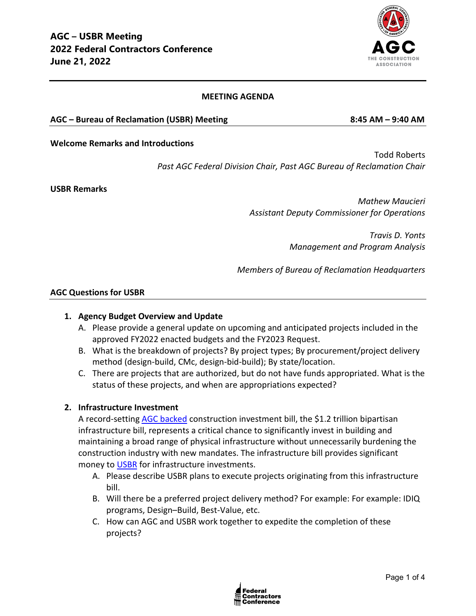

### **MEETING AGENDA**

### **AGC – Bureau of Reclamation (USBR) Meeting 8:45 AM – 9:40 AM**

#### **Welcome Remarks and Introductions**

Todd Roberts *Past AGC Federal Division Chair, Past AGC Bureau of Reclamation Chair*

**USBR Remarks**

*Mathew Maucieri Assistant Deputy Commissioner for Operations*

> *Travis D. Yonts Management and Program Analysis*

*Members of Bureau of Reclamation Headquarters*

#### **AGC Questions for USBR**

### **1. Agency Budget Overview and Update**

- A. Please provide a general update on upcoming and anticipated projects included in the approved FY2022 enacted budgets and the FY2023 Request.
- B. What is the breakdown of projects? By project types; By procurement/project delivery method (design-build, CMc, design-bid-build); By state/location.
- C. There are projects that are authorized, but do not have funds appropriated. What is the status of these projects, and when are appropriations expected?

### **2. Infrastructure Investment**

A record-setting [AGC backed](https://www.agc.org/news/2021/11/18/agc-backed-bipartisan-infrastructure-signed-law) construction investment bill, the \$1.2 trillion bipartisan infrastructure bill, represents a critical chance to significantly invest in building and maintaining a broad range of physical infrastructure without unnecessarily burdening the construction industry with new mandates. The infrastructure bill provides significant money to [USBR](https://www.doi.gov/sites/doi.gov/files/uploads/fy2021-bib-bh037.pdf) for infrastructure investments.

- A. Please describe USBR plans to execute projects originating from this infrastructure bill.
- B. Will there be a preferred project delivery method? For example: For example: IDIQ programs, Design–Build, Best-Value, etc.
- C. How can AGC and USBR work together to expedite the completion of these projects?

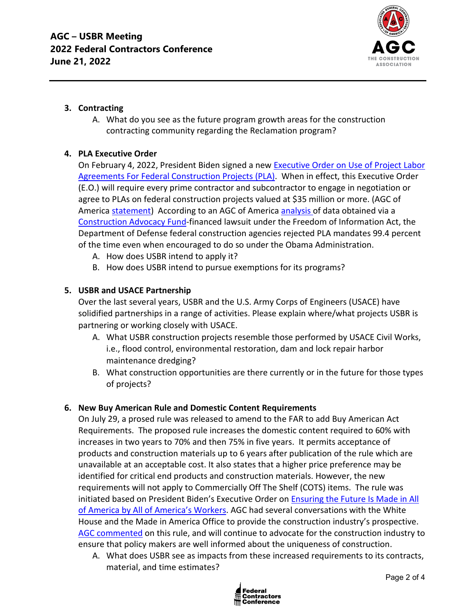

## **3. Contracting**

A. What do you see as the future program growth areas for the construction contracting community regarding the Reclamation program?

# **4. PLA Executive Order**

On February 4, 2022, President Biden signed a new [Executive Order on Use of Project Labor](https://nam12.safelinks.protection.outlook.com/?url=https%3A%2F%2Fwww.whitehouse.gov%2Fbriefing-room%2Fpresidential-actions%2F2022%2F02%2F04%2Fexecutive-order-on-use-of-project-labor-agreements-for-federal-construction-projects%2F&data=04%7C01%7Cjimmy.christianson%40agc.org%7C9a54ffe1775c4b33b2e708d9e8301d61%7C4602d740c1bb4d33b33a435efb6aa1bd%7C0%7C0%7C637796115617974723%7CUnknown%7CTWFpbGZsb3d8eyJWIjoiMC4wLjAwMDAiLCJQIjoiV2luMzIiLCJBTiI6Ik1haWwiLCJXVCI6Mn0%3D%7C3000&sdata=3UwKG%2FHFXcoGKt%2B802izNRlIVSQtUbx7E4yOMXgBSQs%3D&reserved=0)  [Agreements For Federal Construction Projects \(PLA\).](https://nam12.safelinks.protection.outlook.com/?url=https%3A%2F%2Fwww.whitehouse.gov%2Fbriefing-room%2Fpresidential-actions%2F2022%2F02%2F04%2Fexecutive-order-on-use-of-project-labor-agreements-for-federal-construction-projects%2F&data=04%7C01%7Cjimmy.christianson%40agc.org%7C9a54ffe1775c4b33b2e708d9e8301d61%7C4602d740c1bb4d33b33a435efb6aa1bd%7C0%7C0%7C637796115617974723%7CUnknown%7CTWFpbGZsb3d8eyJWIjoiMC4wLjAwMDAiLCJQIjoiV2luMzIiLCJBTiI6Ik1haWwiLCJXVCI6Mn0%3D%7C3000&sdata=3UwKG%2FHFXcoGKt%2B802izNRlIVSQtUbx7E4yOMXgBSQs%3D&reserved=0) When in effect, this Executive Order (E.O.) will require every prime contractor and subcontractor to engage in negotiation or agree to PLAs on federal construction projects valued at \$35 million or more. (AGC of America [statement\)](https://www.agc.org/news/2022/02/04/biden-order-imposing-project-labor-agreements-federal-projects-will-inflate-construction-costs) According to an AGC of Americ[a analysis o](https://www.agc.org/sites/default/files/Files/communications/New_Data_Weighs_on_Debate_Over_Project_Labor_Agreements.pdf)f data obtained via a [Construction Advocacy Fund-](https://constructionadvocacyfund.agc.org/?_zs=3Onnc1&_zl=qrBB8)financed lawsuit under the Freedom of Information Act, the Department of Defense federal construction agencies rejected PLA mandates 99.4 percent of the time even when encouraged to do so under the Obama Administration.

- A. How does USBR intend to apply it?
- B. How does USBR intend to pursue exemptions for its programs?

## **5. USBR and USACE Partnership**

Over the last several years, USBR and the U.S. Army Corps of Engineers (USACE) have solidified partnerships in a range of activities. Please explain where/what projects USBR is partnering or working closely with USACE.

- A. What USBR construction projects resemble those performed by USACE Civil Works, i.e., flood control, environmental restoration, dam and lock repair harbor maintenance dredging?
- B. What construction opportunities are there currently or in the future for those types of projects?

## **6. New Buy American Rule and Domestic Content Requirements**

On July 29, a prosed rule was released to amend to the FAR to add Buy American Act Requirements. The proposed rule increases the domestic content required to 60% with increases in two years to 70% and then 75% in five years. It permits acceptance of products and construction materials up to 6 years after publication of the rule which are unavailable at an acceptable cost. It also states that a higher price preference may be identified for critical end products and construction materials. However, the new requirements will not apply to Commercially Off The Shelf (COTS) items. The rule was initiated based on President Biden's Executive Order on [Ensuring the Future Is Made in All](https://www.whitehouse.gov/briefing-room/presidential-actions/2021/01/25/executive-order-on-ensuring-the-future-is-made-in-all-of-america-by-all-of-americas-workers/)  [of America by All of America's Workers.](https://www.whitehouse.gov/briefing-room/presidential-actions/2021/01/25/executive-order-on-ensuring-the-future-is-made-in-all-of-america-by-all-of-americas-workers/) AGC had several conversations with the White House and the Made in America Office to provide the construction industry's prospective. [AGC commented](https://www.regulations.gov/comment/FAR-2021-0008-0008) on this rule, and will continue to advocate for the construction industry to ensure that policy makers are well informed about the uniqueness of construction.

A. What does USBR see as impacts from these increased requirements to its contracts, material, and time estimates?

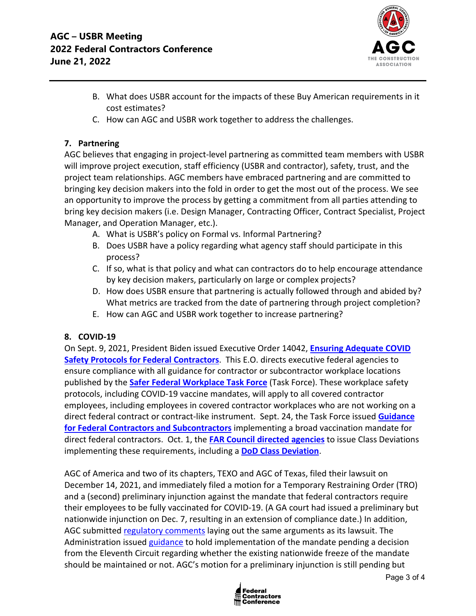

- B. What does USBR account for the impacts of these Buy American requirements in it cost estimates?
- C. How can AGC and USBR work together to address the challenges.

# **7. Partnering**

AGC believes that engaging in project-level partnering as committed team members with USBR will improve project execution, staff efficiency (USBR and contractor), safety, trust, and the project team relationships. AGC members have embraced partnering and are committed to bringing key decision makers into the fold in order to get the most out of the process. We see an opportunity to improve the process by getting a commitment from all parties attending to bring key decision makers (i.e. Design Manager, Contracting Officer, Contract Specialist, Project Manager, and Operation Manager, etc.).

- A. What is USBR's policy on Formal vs. Informal Partnering?
- B. Does USBR have a policy regarding what agency staff should participate in this process?
- C. If so, what is that policy and what can contractors do to help encourage attendance by key decision makers, particularly on large or complex projects?
- D. How does USBR ensure that partnering is actually followed through and abided by? What metrics are tracked from the date of partnering through project completion?
- E. How can AGC and USBR work together to increase partnering?

## **8. COVID-19**

On Sept. 9, 2021, President Biden issued Executive Order 14042, **[Ensuring Adequate COVID](https://www.whitehouse.gov/briefing-room/presidential-actions/2021/09/09/executive-order-on-ensuring-adequate-covid-safety-protocols-for-federal-contractors/)  [Safety Protocols for Federal Contractors](https://www.whitehouse.gov/briefing-room/presidential-actions/2021/09/09/executive-order-on-ensuring-adequate-covid-safety-protocols-for-federal-contractors/)**. This E.O. directs executive federal agencies to ensure compliance with all guidance for contractor or subcontractor workplace locations published by the **[Safer Federal Workplace Task Force](https://www.saferfederalworkforce.gov/new/)** (Task Force). These workplace safety protocols, including COVID-19 vaccine mandates, will apply to all covered contractor employees, including employees in covered contractor workplaces who are not working on a direct federal contract or contract-like instrument. Sept. 24, the Task Force issued **[Guidance](https://www.saferfederalworkforce.gov/downloads/Draft%20contractor%20guidance%20doc_20210922.pdf)  [for Federal Contractors and Subcontractors](https://www.saferfederalworkforce.gov/downloads/Draft%20contractor%20guidance%20doc_20210922.pdf)** implementing a broad vaccination mandate for direct federal contractors. Oct. 1, the **[FAR Council directed agencies](https://www.saferfederalworkforce.gov/contractors/)** to issue Class Deviations implementing these requirements, including a **[DoD Class Deviation](https://www.acq.osd.mil/dpap/policy/policyvault/USA001998-21-DPC.pdf)**.

AGC of America and two of its chapters, TEXO and AGC of Texas, filed their lawsuit on December 14, 2021, and immediately filed a motion for a Temporary Restraining Order (TRO) and a (second) preliminary injunction against the mandate that federal contractors require their employees to be fully vaccinated for COVID-19. (A GA court had issued a preliminary but nationwide injunction on Dec. 7, resulting in an extension of compliance date.) In addition, AGC submitted [regulatory comments](https://www.regulations.gov/comment/OMB-2021-0007-3355) laying out the same arguments as its lawsuit. The Administration issued [guidance](https://www.saferfederalworkforce.gov/contractors/) to hold implementation of the mandate pending a decision from the Eleventh Circuit regarding whether the existing nationwide freeze of the mandate should be maintained or not. AGC's motion for a preliminary injunction is still pending but